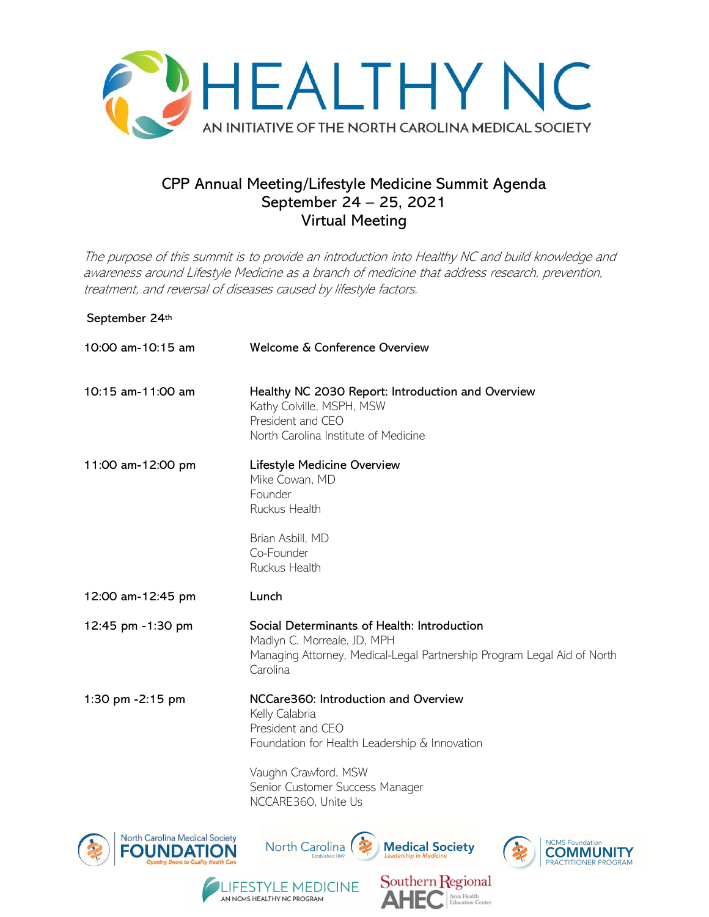

# CPP Annual Meeting/Lifestyle Medicine Summit Agenda September 24 – 25, 2021 Virtual Meeting

The purpose of this summit is to provide an introduction into Healthy NC and build knowledge and awareness around Lifestyle Medicine as a branch of medicine that address research, prevention, treatment, and reversal of diseases caused by lifestyle factors.

## September 24th

| 10:00 am-10:15 am              | Welcome & Conference Overview                                                                                                                                                           |
|--------------------------------|-----------------------------------------------------------------------------------------------------------------------------------------------------------------------------------------|
| 10:15 am-11:00 am              | Healthy NC 2030 Report: Introduction and Overview<br>Kathy Colville, MSPH, MSW<br>President and CEO<br>North Carolina Institute of Medicine                                             |
| 11:00 am-12:00 pm              | Lifestyle Medicine Overview<br>Mike Cowan, MD<br>Founder<br>Ruckus Health<br>Brian Asbill, MD<br>Co-Founder<br>Ruckus Health                                                            |
| 12:00 am-12:45 pm              | Lunch                                                                                                                                                                                   |
| 12:45 pm -1:30 pm              | Social Determinants of Health: Introduction<br>Madlyn C. Morreale, JD, MPH<br>Managing Attorney, Medical-Legal Partnership Program Legal Aid of North<br>Carolina                       |
| 1:30 pm -2:15 pm               | NCCare360: Introduction and Overview<br>Kelly Calabria<br>President and CEO<br>Foundation for Health Leadership & Innovation<br>Vaughn Crawford, MSW<br>Senior Customer Success Manager |
| North Carolina Medical Society | NCCARE360, Unite Us<br><b>NCMS</b> Foundation                                                                                                                                           |
| <b>FOUNDAIR</b>                | <b>North Carolina</b><br><b>Medical Society</b>                                                                                                                                         |

**FESTYLE MEDICINE** 

AN NCMS HEALTHY NC PROGRAM

Southern Regional

Area Health<br>Education Center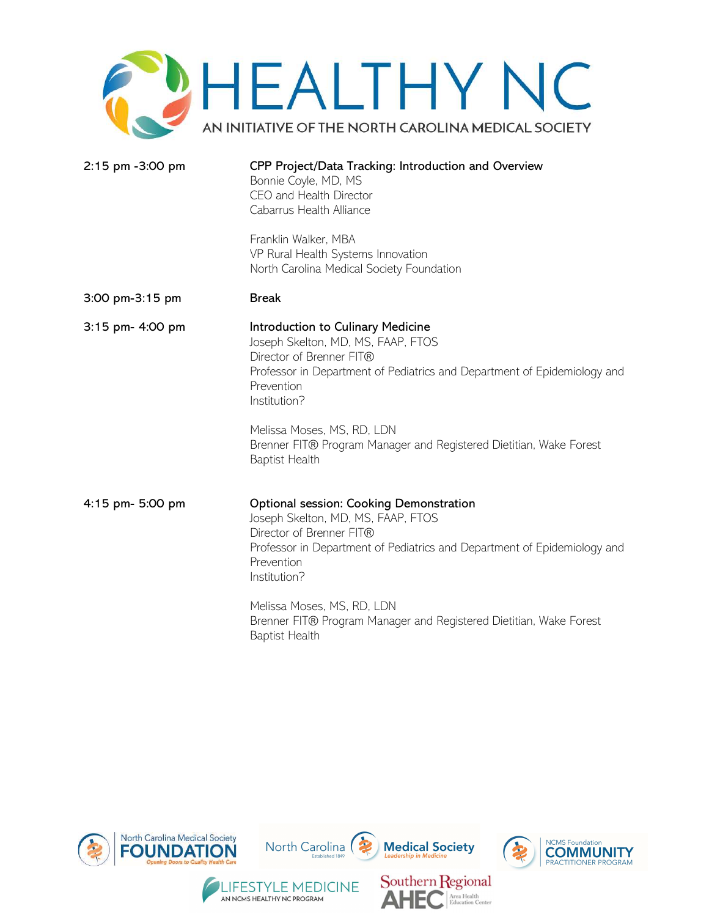

| 2:15 pm -3:00 pm | CPP Project/Data Tracking: Introduction and Overview<br>Bonnie Coyle, MD, MS<br>CEO and Health Director<br>Cabarrus Health Alliance                                                                                 |
|------------------|---------------------------------------------------------------------------------------------------------------------------------------------------------------------------------------------------------------------|
|                  | Franklin Walker, MBA<br>VP Rural Health Systems Innovation<br>North Carolina Medical Society Foundation                                                                                                             |
| 3:00 pm-3:15 pm  | <b>Break</b>                                                                                                                                                                                                        |
| 3:15 pm- 4:00 pm | Introduction to Culinary Medicine<br>Joseph Skelton, MD, MS, FAAP, FTOS<br>Director of Brenner FIT®<br>Professor in Department of Pediatrics and Department of Epidemiology and<br>Prevention<br>Institution?       |
|                  | Melissa Moses, MS, RD, LDN<br>Brenner FIT® Program Manager and Registered Dietitian, Wake Forest<br><b>Baptist Health</b>                                                                                           |
| 4:15 pm- 5:00 pm | Optional session: Cooking Demonstration<br>Joseph Skelton, MD, MS, FAAP, FTOS<br>Director of Brenner FIT®<br>Professor in Department of Pediatrics and Department of Epidemiology and<br>Prevention<br>Institution? |
|                  | Melissa Moses, MS, RD, LDN<br>Brenner FIT® Program Manager and Registered Dietitian, Wake Forest<br><b>Baptist Health</b>                                                                                           |



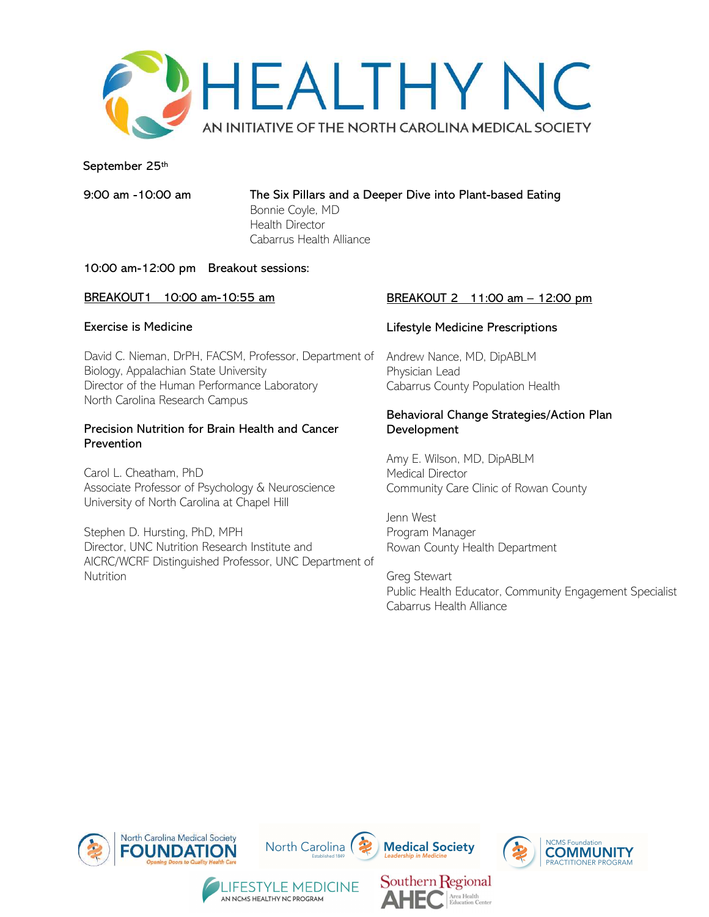

#### September 25th

9:00 am -10:00 am The Six Pillars and a Deeper Dive into Plant-based Eating Bonnie Coyle, MD

Health Director Cabarrus Health Alliance

#### 10:00 am-12:00 pm Breakout sessions:

# BREAKOUT1 10:00 am-10:55 am

#### Exercise is Medicine

David C. Nieman, DrPH, FACSM, Professor, Department of Biology, Appalachian State University Director of the Human Performance Laboratory North Carolina Research Campus

#### Precision Nutrition for Brain Health and Cancer Prevention

Carol L. Cheatham, PhD Associate Professor of Psychology & Neuroscience University of North Carolina at Chapel Hill

Stephen D. Hursting, PhD, MPH Director, UNC Nutrition Research Institute and AICRC/WCRF Distinguished Professor, UNC Department of **Nutrition** 

#### BREAKOUT 2 11:00 am - 12:00 pm

#### Lifestyle Medicine Prescriptions

Andrew Nance, MD, DipABLM Physician Lead Cabarrus County Population Health

#### Behavioral Change Strategies/Action Plan Development

Amy E. Wilson, MD, DipABLM Medical Director Community Care Clinic of Rowan County

Jenn West Program Manager Rowan County Health Department

Area Health<br>Education Center

Greg Stewart Public Health Educator, Community Engagement Specialist Cabarrus Health Alliance



AN NCMS HEALTHY NC PROGRAM

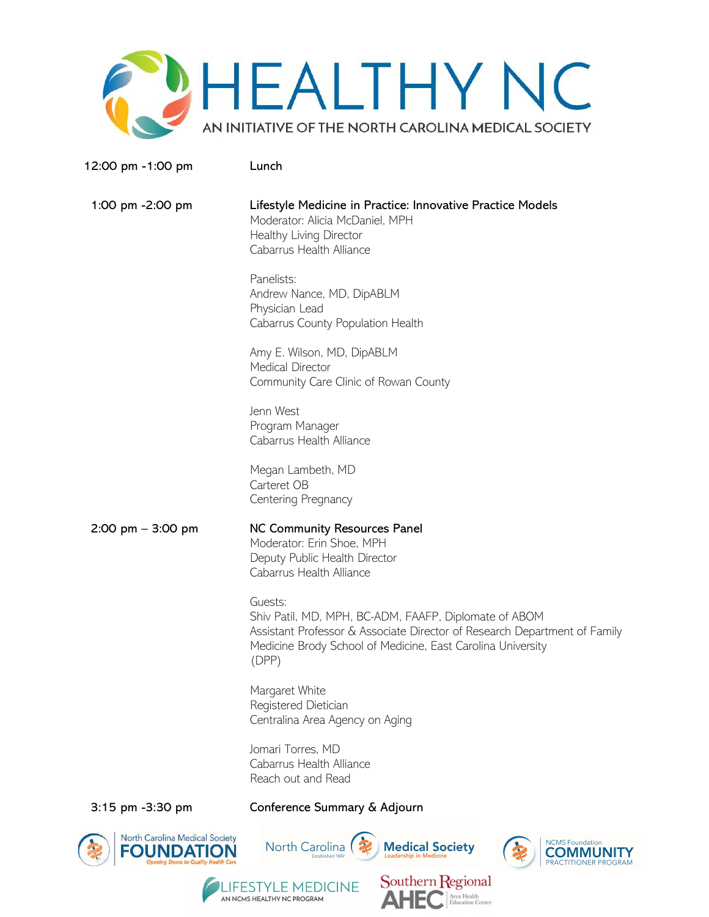

12:00 pm -1:00 pm Lunch

 1:00 pm -2:00 pm Lifestyle Medicine in Practice: Innovative Practice Models Moderator: Alicia McDaniel, MPH Healthy Living Director Cabarrus Health Alliance

> Panelists: Andrew Nance, MD, DipABLM Physician Lead Cabarrus County Population Health

Amy E. Wilson, MD, DipABLM Medical Director Community Care Clinic of Rowan County

Jenn West Program Manager Cabarrus Health Alliance

Megan Lambeth, MD Carteret OB Centering Pregnancy

2:00 pm – 3:00 pm MC Community Resources Panel Moderator: Erin Shoe, MPH Deputy Public Health Director Cabarrus Health Alliance

> Guests: Shiv Patil, MD, MPH, BC-ADM, FAAFP, Diplomate of ABOM Assistant Professor & Associate Director of Research Department of Family Medicine Brody School of Medicine, East Carolina University (DPP)

Margaret White Registered Dietician Centralina Area Agency on Aging

Jomari Torres, MD Cabarrus Health Alliance Reach out and Read

AN NCMS HEALTHY NC PROGRAM

## 3:15 pm -3:30 pm Conference Summary & Adjourn





Area Health<br>Education Center